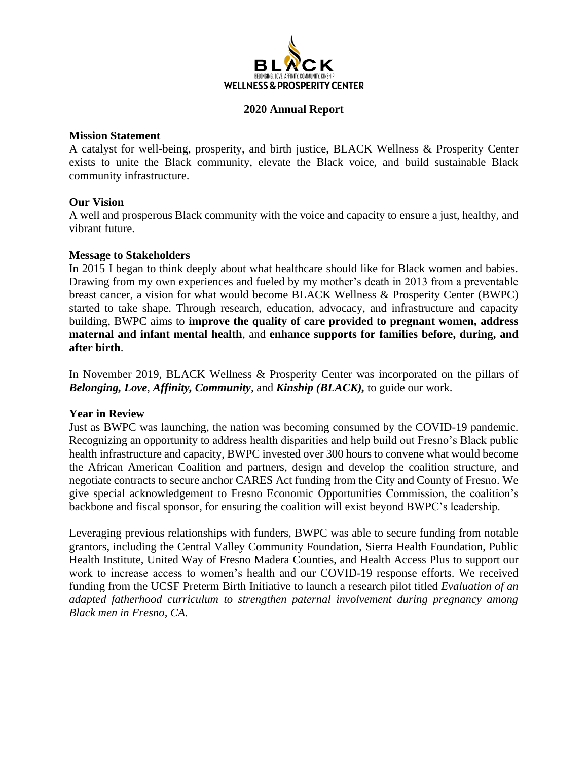

#### **2020 Annual Report**

### **Mission Statement**

A catalyst for well-being, prosperity, and birth justice, BLACK Wellness & Prosperity Center exists to unite the Black community, elevate the Black voice, and build sustainable Black community infrastructure.

## **Our Vision**

A well and prosperous Black community with the voice and capacity to ensure a just, healthy, and vibrant future.

#### **Message to Stakeholders**

In 2015 I began to think deeply about what healthcare should like for Black women and babies. Drawing from my own experiences and fueled by my mother's death in 2013 from a preventable breast cancer, a vision for what would become BLACK Wellness & Prosperity Center (BWPC) started to take shape. Through research, education, advocacy, and infrastructure and capacity building, BWPC aims to **improve the quality of care provided to pregnant women, address maternal and infant mental health**, and **enhance supports for families before, during, and after birth**.

In November 2019, BLACK Wellness & Prosperity Center was incorporated on the pillars of *Belonging, Love*, *Affinity, Community*, and *Kinship (BLACK),* to guide our work.

## **Year in Review**

Just as BWPC was launching, the nation was becoming consumed by the COVID-19 pandemic. Recognizing an opportunity to address health disparities and help build out Fresno's Black public health infrastructure and capacity, BWPC invested over 300 hours to convene what would become the African American Coalition and partners, design and develop the coalition structure, and negotiate contracts to secure anchor CARES Act funding from the City and County of Fresno. We give special acknowledgement to Fresno Economic Opportunities Commission, the coalition's backbone and fiscal sponsor, for ensuring the coalition will exist beyond BWPC's leadership.

Leveraging previous relationships with funders, BWPC was able to secure funding from notable grantors, including the Central Valley Community Foundation, Sierra Health Foundation, Public Health Institute, United Way of Fresno Madera Counties, and Health Access Plus to support our work to increase access to women's health and our COVID-19 response efforts. We received funding from the UCSF Preterm Birth Initiative to launch a research pilot titled *Evaluation of an adapted fatherhood curriculum to strengthen paternal involvement during pregnancy among Black men in Fresno, CA.*